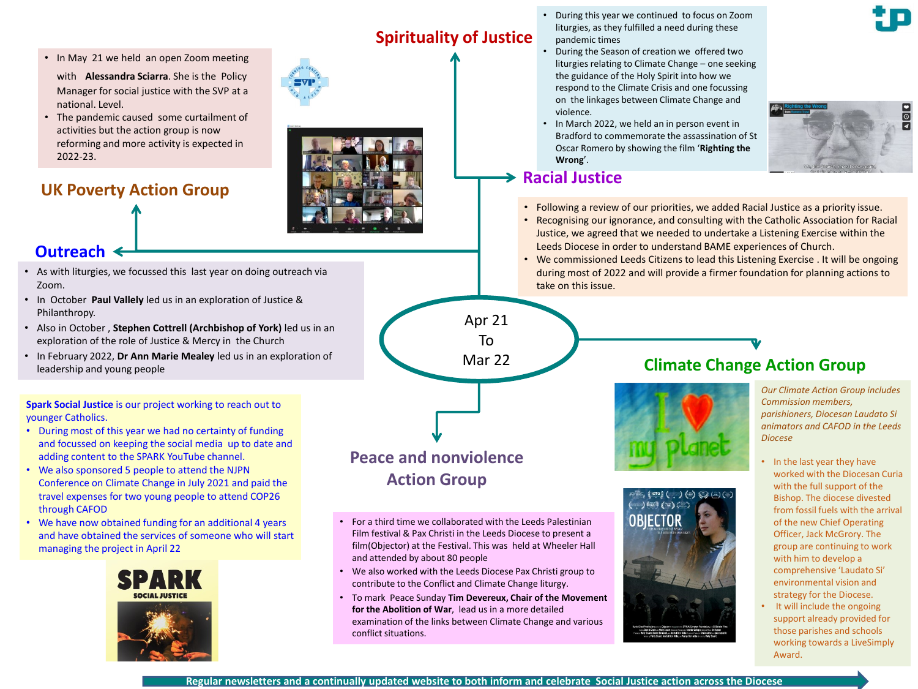- In May 21 we held an open Zoom meeting with **Alessandra Sciarra**. She is the Policy Manager for social justice with the SVP at a national. Level.
- The pandemic caused some curtailment of activities but the action group is now reforming and more activity is expected in 2022-23.

**UK Poverty Action Group**





## **Outreach**

- As with liturgies, we focussed this last year on doing outreach via Zoom.
- In October **Paul Vallely** led us in an exploration of Justice & Philanthropy.
- Also in October , **Stephen Cottrell (Archbishop of York)** led us in an exploration of the role of Justice & Mercy in the Church
- In February 2022, **Dr Ann Marie Mealey** led us in an exploration of leadership and young people

**Spark Social Justice** is our project working to reach out to younger Catholics.

- During most of this year we had no certainty of funding and focussed on keeping the social media up to date and adding content to the SPARK YouTube channel.
- We also sponsored 5 people to attend the NJPN Conference on Climate Change in July 2021 and paid the travel expenses for two young people to attend COP26 through CAFOD
- We have now obtained funding for an additional 4 years and have obtained the services of someone who will start managing the project in April 22



# **Spirituality of Justice**

- During this year we continued to focus on Zoom liturgies, as they fulfilled a need during these pandemic times
- During the Season of creation we offered two liturgies relating to Climate Change – one seeking the guidance of the Holy Spirit into how we respond to the Climate Crisis and one focussing on the linkages between Climate Change and violence.
- In March 2022, we held an in person event in Bradford to commemorate the assassination of St Oscar Romero by showing the film '**Righting the**

## **Racial Justice**

**Wrong**'.

- Following a review of our priorities, we added Racial Justice as a priority issue.
- Recognising our ignorance, and consulting with the Catholic Association for Racial Justice, we agreed that we needed to undertake a Listening Exercise within the Leeds Diocese in order to understand BAME experiences of Church.
- We commissioned Leeds Citizens to lead this Listening Exercise . It will be ongoing during most of 2022 and will provide a firmer foundation for planning actions to take on this issue.

Apr 21 To Mar 22



- For a third time we collaborated with the Leeds Palestinian Film festival & Pax Christi in the Leeds Diocese to present a film(Objector) at the Festival. This was held at Wheeler Hall and attended by about 80 people
- We also worked with the Leeds Diocese Pax Christi group to contribute to the Conflict and Climate Change liturgy.
- To mark Peace Sunday **Tim Devereux, Chair of the Movement for the Abolition of War**, lead us in a more detailed examination of the links between Climate Change and various conflict situations.

# **Climate Change Action Group**





*Our Climate Action Group includes Commission members, parishioners, Diocesan Laudato Si animators and CAFOD in the Leeds Diocese*

 $\frac{1}{\sqrt{2}}$ 

- In the last year they have worked with the Diocesan Curia with the full support of the Bishop. The diocese divested from fossil fuels with the arrival of the new Chief Operating Officer, Jack McGrory. The group are continuing to work with him to develop a comprehensive 'Laudato Si' environmental vision and strategy for the Diocese.
- It will include the ongoing support already provided for those parishes and schools working towards a LiveSimply Award.